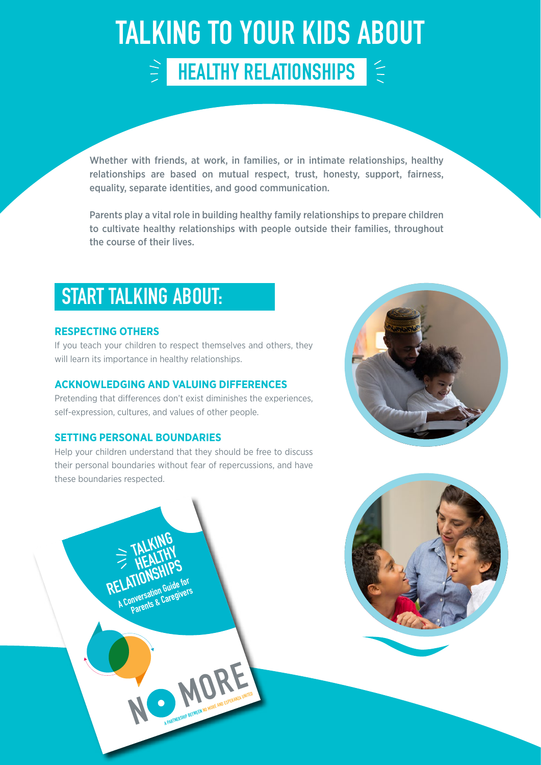### TALKING TO YOUR KIDS ABOUT HEALTHY RELATIONSHIPS E)

Whether with friends, at work, in families, or in intimate relationships, healthy relationships are based on mutual respect, trust, honesty, support, fairness, equality, separate identities, and good communication.

Parents play a vital role in building healthy family relationships to prepare children to cultivate healthy relationships with people outside their families, throughout the course of their lives.

## START TALKING ABOUT:

### **RESPECTING OTHERS**

If you teach your children to respect themselves and others, they will learn its importance in healthy relationships.

### **ACKNOWLEDGING AND VALUING DIFFERENCES**

Pretending that differences don't exist diminishes the experiences, self-expression, cultures, and values of other people.

### **SETTING PERSONAL BOUNDARIES**

 **TALKING** 

**ELAITONNE Guide for**<br>A Conversation Guide for **Parents & Caregivers**

**ELATIONSHIPS**<br> **RELATIONSHIPS** 

**N**

Help your children understand that they should be free to discuss their personal boundaries without fear of repercussions, and have these boundaries respected.

**MORE AND A PARTICIPAL PARTNERS**